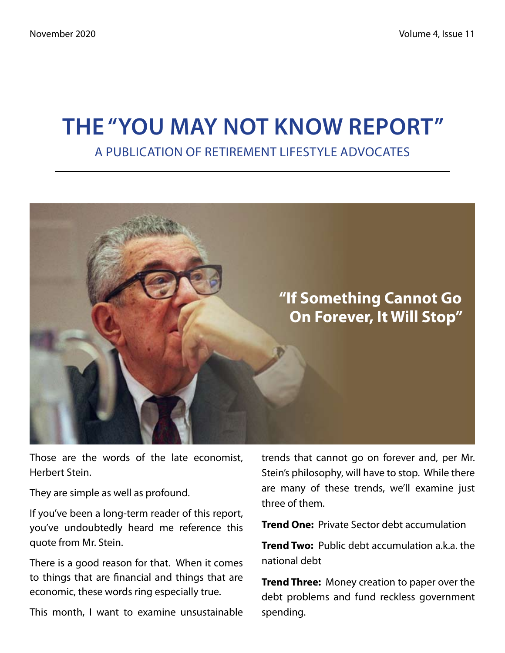# **The "You May Not Know Report"** A Publication of Retirement Lifestyle Advocates



Those are the words of the late economist, Herbert Stein.

They are simple as well as profound.

If you've been a long-term reader of this report, you've undoubtedly heard me reference this quote from Mr. Stein.

There is a good reason for that. When it comes to things that are financial and things that are economic, these words ring especially true.

This month, I want to examine unsustainable

trends that cannot go on forever and, per Mr. Stein's philosophy, will have to stop. While there are many of these trends, we'll examine just three of them.

**Trend One:** Private Sector debt accumulation

**Trend Two:** Public debt accumulation a.k.a. the national debt

**Trend Three:** Money creation to paper over the debt problems and fund reckless government spending.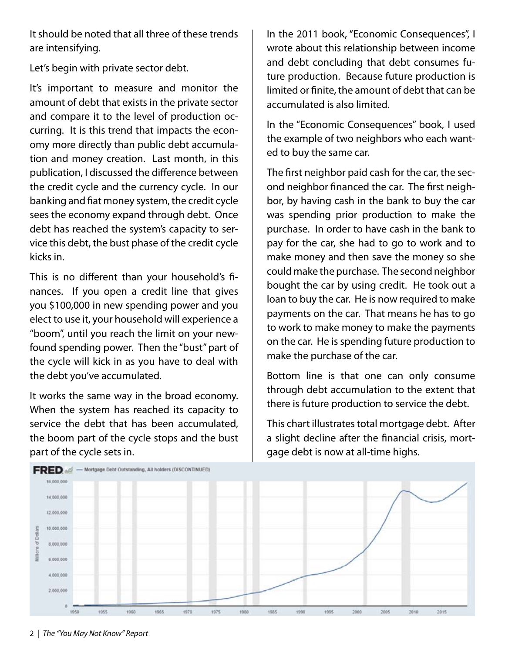It should be noted that all three of these trends are intensifying.

Let's begin with private sector debt.

It's important to measure and monitor the amount of debt that exists in the private sector and compare it to the level of production occurring. It is this trend that impacts the economy more directly than public debt accumulation and money creation. Last month, in this publication, I discussed the difference between the credit cycle and the currency cycle. In our banking and fiat money system, the credit cycle sees the economy expand through debt. Once debt has reached the system's capacity to service this debt, the bust phase of the credit cycle kicks in.

This is no different than your household's finances. If you open a credit line that gives you \$100,000 in new spending power and you elect to use it, your household will experience a "boom", until you reach the limit on your newfound spending power. Then the "bust" part of the cycle will kick in as you have to deal with the debt you've accumulated.

It works the same way in the broad economy. When the system has reached its capacity to service the debt that has been accumulated, the boom part of the cycle stops and the bust part of the cycle sets in.

In the 2011 book, "Economic Consequences", I wrote about this relationship between income and debt concluding that debt consumes future production. Because future production is limited or finite, the amount of debt that can be accumulated is also limited.

In the "Economic Consequences" book, I used the example of two neighbors who each wanted to buy the same car.

The first neighbor paid cash for the car, the second neighbor financed the car. The first neighbor, by having cash in the bank to buy the car was spending prior production to make the purchase. In order to have cash in the bank to pay for the car, she had to go to work and to make money and then save the money so she could make the purchase. The second neighbor bought the car by using credit. He took out a loan to buy the car. He is now required to make payments on the car. That means he has to go to work to make money to make the payments on the car. He is spending future production to make the purchase of the car.

Bottom line is that one can only consume through debt accumulation to the extent that there is future production to service the debt.

This chart illustrates total mortgage debt. After a slight decline after the financial crisis, mortgage debt is now at all-time highs.

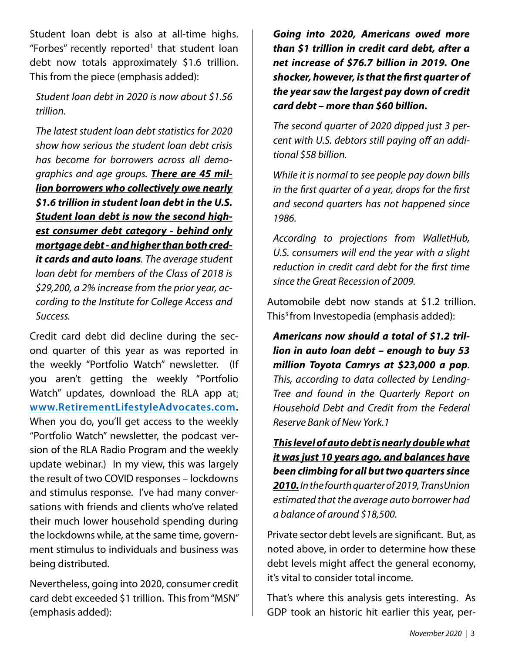Student loan debt is also at all-time highs. "Forbes" recently reported<sup>1</sup> that student loan debt now totals approximately \$1.6 trillion. This from the piece (emphasis added):

*Student loan debt in 2020 is now about \$1.56 trillion.*

*The latest student loan debt statistics for 2020 show how serious the student loan debt crisis has become for borrowers across all demographics and age groups. There are 45 million borrowers who collectively owe nearly \$1.6 trillion in student loan debt in the U.S. Student loan debt is now the second highest consumer debt category - behind only mortgage debt - and higher than both credit cards and auto loans. The average student loan debt for members of the Class of 2018 is \$29,200, a 2% increase from the prior year, according to the Institute for College Access and Success.*

Credit card debt did decline during the second quarter of this year as was reported in the weekly "Portfolio Watch" newsletter. (If you aren't getting the weekly "Portfolio Watch" updates, download the RLA app at: **www.RetirementLifestyleAdvocates.com.** When you do, you'll get access to the weekly "Portfolio Watch" newsletter, the podcast version of the RLA Radio Program and the weekly update webinar.) In my view, this was largely the result of two COVID responses – lockdowns and stimulus response. I've had many conversations with friends and clients who've related their much lower household spending during the lockdowns while, at the same time, government stimulus to individuals and business was being distributed.

Nevertheless, going into 2020, consumer credit card debt exceeded \$1 trillion. This from "MSN" (emphasis added):

*Going into 2020, Americans owed more than \$1 trillion in credit card debt, after a net increase of \$76.7 billion in 2019. One shocker, however, is that the first quarter of the year saw the largest pay down of credit card debt – more than \$60 billion.*

*The second quarter of 2020 dipped just 3 percent with U.S. debtors still paying off an additional \$58 billion.*

*While it is normal to see people pay down bills in the first quarter of a year, drops for the first and second quarters has not happened since 1986.*

*According to projections from WalletHub, U.S. consumers will end the year with a slight reduction in credit card debt for the first time since the Great Recession of 2009.*

Automobile debt now stands at \$1.2 trillion. This<sup>3</sup> from Investopedia (emphasis added):

*Americans now should a total of \$1.2 trillion in auto loan debt – enough to buy 53 million Toyota Camrys at \$23,000 a pop. This, according to data collected by Lending-Tree and found in the Quarterly Report on Household Debt and Credit from the Federal Reserve Bank of New York.1* 

*This level of auto debt is nearly double what it was just 10 years ago, and balances have been climbing for all but two quarters since*

*2010. In the fourth quarter of 2019, TransUnion estimated that the average auto borrower had a balance of around \$18,500.* 

Private sector debt levels are significant. But, as noted above, in order to determine how these debt levels might affect the general economy, it's vital to consider total income.

That's where this analysis gets interesting. As GDP took an historic hit earlier this year, per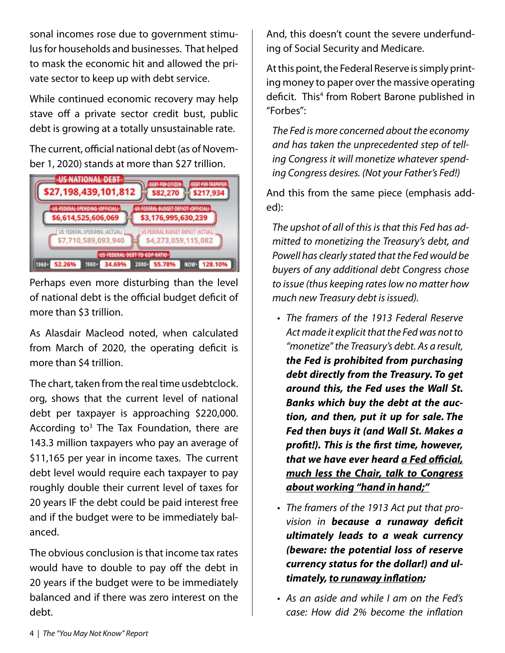sonal incomes rose due to government stimulus for households and businesses. That helped to mask the economic hit and allowed the private sector to keep up with debt service.

While continued economic recovery may help stave off a private sector credit bust, public debt is growing at a totally unsustainable rate.

The current, official national debt (as of November 1, 2020) stands at more than \$27 trillion.



Perhaps even more disturbing than the level of national debt is the official budget deficit of more than \$3 trillion.

As Alasdair Macleod noted, when calculated from March of 2020, the operating deficit is more than \$4 trillion.

The chart, taken from the real time usdebtclock. org, shows that the current level of national debt per taxpayer is approaching \$220,000. According to<sup>3</sup> The Tax Foundation, there are 143.3 million taxpayers who pay an average of \$11,165 per year in income taxes. The current debt level would require each taxpayer to pay roughly double their current level of taxes for 20 years IF the debt could be paid interest free and if the budget were to be immediately balanced.

The obvious conclusion is that income tax rates would have to double to pay off the debt in 20 years if the budget were to be immediately balanced and if there was zero interest on the debt.

And, this doesn't count the severe underfunding of Social Security and Medicare.

At this point, the Federal Reserve is simply printing money to paper over the massive operating deficit. This<sup>4</sup> from Robert Barone published in "Forbes":

*The Fed is more concerned about the economy and has taken the unprecedented step of telling Congress it will monetize whatever spending Congress desires. (Not your Father's Fed!)*

And this from the same piece (emphasis added):

*The upshot of all of this is that this Fed has admitted to monetizing the Treasury's debt, and Powell has clearly stated that the Fed would be buyers of any additional debt Congress chose to issue (thus keeping rates low no matter how much new Treasury debt is issued).*

- *The framers of the 1913 Federal Reserve • Act made it explicit that the Fed was not to "monetize" the Treasury's debt. As a result, the Fed is prohibited from purchasing debt directly from the Treasury. To get around this, the Fed uses the Wall St. Banks which buy the debt at the auction, and then, put it up for sale. The Fed then buys it (and Wall St. Makes a profit!). This is the first time, however, that we have ever heard a Fed official, much less the Chair, talk to Congress about working "hand in hand;"*
- *The framers of the 1913 Act put that pro-• vision in because a runaway deficit ultimately leads to a weak currency (beware: the potential loss of reserve currency status for the dollar!) and ultimately, to runaway inflation;*
- *As an aside and while I am on the Fed's • case: How did 2% become the inflation*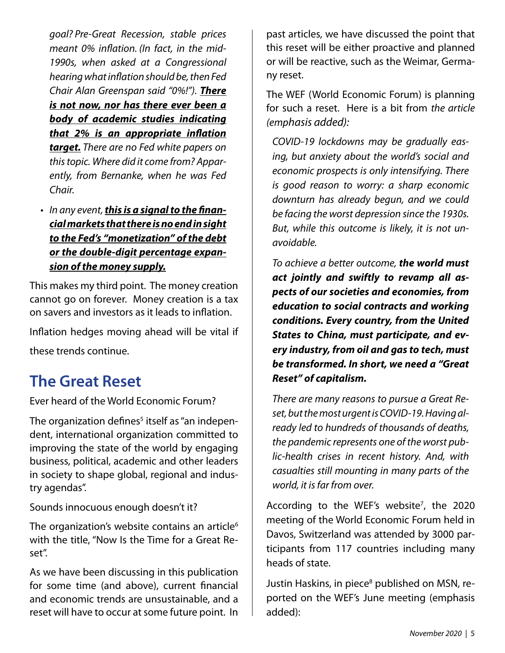*goal? Pre-Great Recession, stable prices meant 0% inflation. (In fact, in the mid-1990s, when asked at a Congressional hearing what inflation should be, then Fed Chair Alan Greenspan said "0%!"). There is not now, nor has there ever been a body of academic studies indicating that 2% is an appropriate inflation target. There are no Fed white papers on this topic. Where did it come from? Apparently, from Bernanke, when he was Fed Chair.*

*In any event, this is a signal to the finan-•cial markets that there is no end in sight to the Fed's "monetization" of the debt or the double-digit percentage expansion of the money supply.*

This makes my third point. The money creation cannot go on forever. Money creation is a tax on savers and investors as it leads to inflation.

Inflation hedges moving ahead will be vital if these trends continue.

# **The Great Reset**

Ever heard of the World Economic Forum?

The organization defines ${}^5$  itself as "an independent, international organization committed to improving the state of the world by engaging business, political, academic and other leaders in society to shape global, regional and industry agendas".

Sounds innocuous enough doesn't it?

The organization's website contains an article<sup>6</sup> with the title, "Now Is the Time for a Great Reset".

As we have been discussing in this publication for some time (and above), current financial and economic trends are unsustainable, and a reset will have to occur at some future point. In past articles, we have discussed the point that this reset will be either proactive and planned or will be reactive, such as the Weimar, Germany reset.

The WEF (World Economic Forum) is planning for such a reset. Here is a bit from *the article (emphasis added):*

*COVID-19 lockdowns may be gradually easing, but anxiety about the world's social and economic prospects is only intensifying. There is good reason to worry: a sharp economic downturn has already begun, and we could be facing the worst depression since the 1930s. But, while this outcome is likely, it is not unavoidable.*

*To achieve a better outcome, the world must act jointly and swiftly to revamp all aspects of our societies and economies, from education to social contracts and working conditions. Every country, from the United States to China, must participate, and every industry, from oil and gas to tech, must be transformed. In short, we need a "Great Reset" of capitalism.*

*There are many reasons to pursue a Great Reset, but the most urgent is COVID-19. Having already led to hundreds of thousands of deaths, the pandemic represents one of the worst public-health crises in recent history. And, with casualties still mounting in many parts of the world, it is far from over.*

According to the WEF's website<sup>7</sup>, the 2020 meeting of the World Economic Forum held in Davos, Switzerland was attended by 3000 participants from 117 countries including many heads of state.

Justin Haskins, in piece<sup>8</sup> published on MSN, reported on the WEF's June meeting (emphasis added):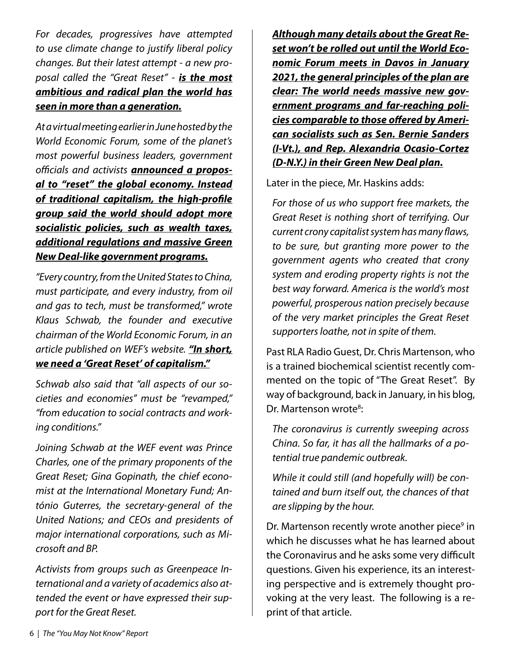*For decades, progressives have attempted to use climate change to justify liberal policy changes. But their latest attempt - a new proposal called the "Great Reset" - is the most ambitious and radical plan the world has seen in more than a generation.*

*At a virtual meeting earlier in June hosted by the World Economic Forum, some of the planet's most powerful business leaders, government officials and activists announced a proposal to "reset" the global economy. Instead of traditional capitalism, the high-profile group said the world should adopt more socialistic policies, such as wealth taxes, additional regulations and massive Green New Deal-like government programs.*

*"Every country, from the United States to China, must participate, and every industry, from oil and gas to tech, must be transformed," wrote Klaus Schwab, the founder and executive chairman of the World Economic Forum, in an article published on WEF's website. "In short, we need a 'Great Reset' of capitalism."*

*Schwab also said that "all aspects of our societies and economies" must be "revamped," "from education to social contracts and working conditions."*

*Joining Schwab at the WEF event was Prince Charles, one of the primary proponents of the Great Reset; Gina Gopinath, the chief economist at the International Monetary Fund; António Guterres, the secretary-general of the United Nations; and CEOs and presidents of major international corporations, such as Microsoft and BP.*

*Activists from groups such as Greenpeace International and a variety of academics also attended the event or have expressed their support for the Great Reset.*

*Although many details about the Great Reset won't be rolled out until the World Economic Forum meets in Davos in January 2021, the general principles of the plan are clear: The world needs massive new government programs and far-reaching policies comparable to those offered by American socialists such as Sen. Bernie Sanders (I-Vt.), and Rep. Alexandria Ocasio-Cortez (D-N.Y.) in their Green New Deal plan.*

Later in the piece, Mr. Haskins adds:

*For those of us who support free markets, the Great Reset is nothing short of terrifying. Our current crony capitalist system has many flaws, to be sure, but granting more power to the government agents who created that crony system and eroding property rights is not the best way forward. America is the world's most powerful, prosperous nation precisely because of the very market principles the Great Reset supporters loathe, not in spite of them.*

Past RLA Radio Guest, Dr. Chris Martenson, who is a trained biochemical scientist recently commented on the topic of "The Great Reset". By way of background, back in January, in his blog, Dr. Martenson wrote<sup>8</sup>:

*The coronavirus is currently sweeping across China. So far, it has all the hallmarks of a potential true pandemic outbreak.*

*While it could still (and hopefully will) be contained and burn itself out, the chances of that are slipping by the hour.*

Dr. Martenson recently wrote another piece<sup>9</sup> in which he discusses what he has learned about the Coronavirus and he asks some very difficult questions. Given his experience, its an interesting perspective and is extremely thought provoking at the very least. The following is a reprint of that article.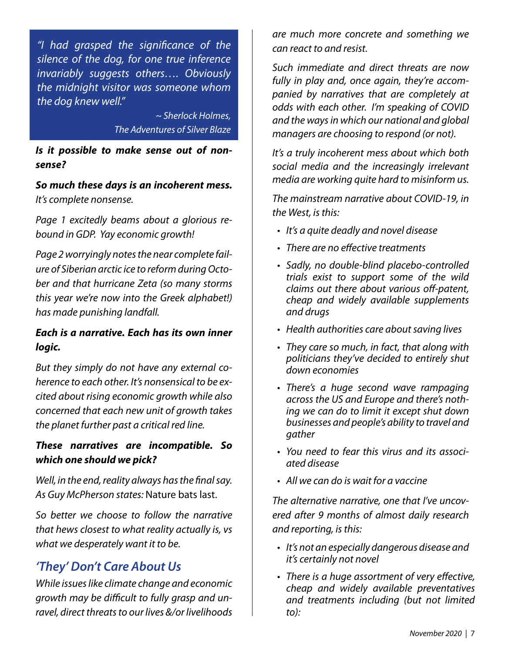*"I had grasped the significance of the silence of the dog, for one true inference invariably suggests others…. Obviously the midnight visitor was someone whom the dog knew well."*

> *~ Sherlock Holmes, The Adventures of Silver Blaze*

#### *Is it possible to make sense out of nonsense?*

*So much these days is an incoherent mess. It's complete nonsense.*

*Page 1 excitedly beams about a glorious rebound in GDP. Yay economic growth!*

*Page 2 worryingly notes the near complete failure of Siberian arctic ice to reform during October and that hurricane Zeta (so many storms this year we're now into the Greek alphabet!) has made punishing landfall.*

#### *Each is a narrative. Each has its own inner logic.*

*But they simply do not have any external coherence to each other. It's nonsensical to be excited about rising economic growth while also concerned that each new unit of growth takes the planet further past a critical red line.*

#### *These narratives are incompatible. So which one should we pick?*

*Well, in the end, reality always has the final say. As Guy McPherson states:* Nature bats last.

*So better we choose to follow the narrative that hews closest to what reality actually is, vs what we desperately want it to be.*

## *'They' Don't Care About Us*

*While issues like climate change and economic growth may be difficult to fully grasp and unravel, direct threats to our lives &/or livelihoods* 

*are much more concrete and something we can react to and resist.*

*Such immediate and direct threats are now fully in play and, once again, they're accompanied by narratives that are completely at odds with each other. I'm speaking of COVID and the ways in which our national and global managers are choosing to respond (or not).*

*It's a truly incoherent mess about which both social media and the increasingly irrelevant media are working quite hard to misinform us.*

*The mainstream narrative about COVID-19, in the West, is this:*

- *It's a quite deadly and novel disease •*
- *There are no effective treatments •*
- *Sadly, no double-blind placebo-controlled • trials exist to support some of the wild claims out there about various off-patent, cheap and widely available supplements and drugs*
- *Health authorities care about saving lives •*
- *They care so much, in fact, that along with • politicians they've decided to entirely shut down economies*
- *There's a huge second wave rampaging • across the US and Europe and there's nothing we can do to limit it except shut down businesses and people's ability to travel and gather*
- *You need to fear this virus and its associ-• ated disease*
- *All we can do is wait for a vaccine •*

*The alternative narrative, one that I've uncovered after 9 months of almost daily research and reporting, is this:*

- *It's not an especially dangerous disease and • it's certainly not novel*
- *There is a huge assortment of very effective, • cheap and widely available preventatives and treatments including (but not limited to):*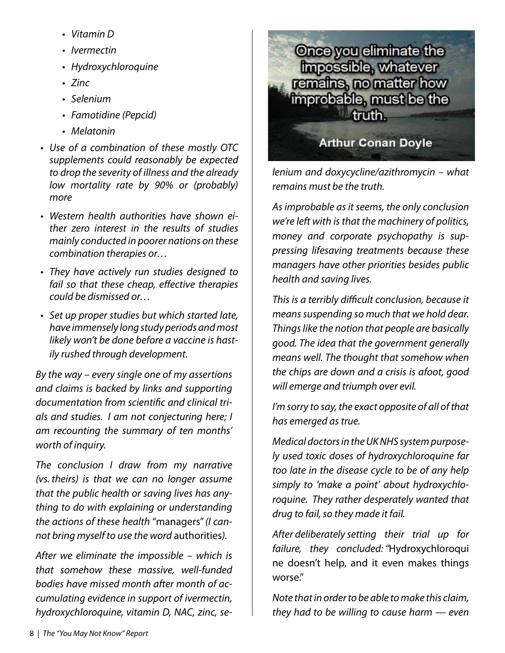- *Vitamin D •*
- *Ivermectin •*
- *Hydroxychloroquine •*
- *Zinc •*
- *Selenium •*
- *Famotidine (Pepcid) •*
- *Melatonin •*
- *Use of a combination of these mostly OTC • supplements could reasonably be expected to drop the severity of illness and the already low mortality rate by 90% or (probably) more*
- *Western health authorities have shown ei-• ther zero interest in the results of studies mainly conducted in poorer nations on these combination therapies or…*
- *They have actively run studies designed to • fail so that these cheap, effective therapies could be dismissed or…*
- *Set up proper studies but which started late, • have immensely long study periods and most likely won't be done before a vaccine is hastily rushed through development.*

*By the way – every single one of my assertions and claims is backed by links and supporting documentation from scientific and clinical trials and studies. I am not conjecturing here; I am recounting the summary of ten months' worth of inquiry.*

*The conclusion I draw from my narrative (vs. theirs) is that we can no longer assume that the public health or saving lives has anything to do with explaining or understanding the actions of these health* "managers"*(I cannot bring myself to use the word* authorities*).*

*After we eliminate the impossible – which is that somehow these massive, well-funded bodies have missed month after month of accumulating evidence in support of ivermectin, hydroxychloroquine, vitamin D, NAC, zinc, se-*



*lenium and doxycycline/azithromycin – what remains must be the truth.*

*As improbable as it seems, the only conclusion we're left with is that the machinery of politics, money and corporate psychopathy is suppressing lifesaving treatments because these managers have other priorities besides public health and saving lives.*

*This is a terribly difficult conclusion, because it means suspending so much that we hold dear. Things like the notion that people are basically good. The idea that the government generally means well. The thought that somehow when the chips are down and a crisis is afoot, good will emerge and triumph over evil.*

*I'm sorry to say, the exact opposite of all of that has emerged as true.*

*Medical doctors in the UK NHS system purposely used toxic doses of hydroxychloroquine far too late in the disease cycle to be of any help simply to 'make a point' about hydroxychloroquine. They rather desperately wanted that drug to fail, so they made it fail.*

*After deliberately setting their trial up for failure, they concluded: "*Hydroxychloroqui ne doesn't help, and it even makes things worse."

*Note that in order to be able to make this claim, they had to be willing to cause harm — even*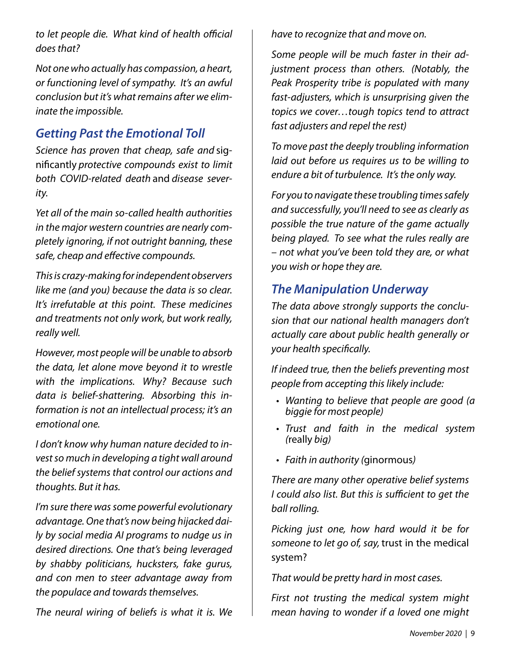*to let people die. What kind of health official does that?*

*Not one who actually has compassion, a heart, or functioning level of sympathy. It's an awful conclusion but it's what remains after we eliminate the impossible.*

### *Getting Past the Emotional Toll*

*Science has proven that cheap, safe and* significantly *protective compounds exist to limit both COVID-related death* and *disease severity.*

*Yet all of the main so-called health authorities in the major western countries are nearly completely ignoring, if not outright banning, these safe, cheap and effective compounds.*

*This is crazy-making for independent observers like me (and you) because the data is so clear. It's irrefutable at this point. These medicines and treatments not only work, but work really, really well.*

*However, most people will be unable to absorb the data, let alone move beyond it to wrestle with the implications. Why? Because such data is belief-shattering. Absorbing this information is not an intellectual process; it's an emotional one.*

*I don't know why human nature decided to invest so much in developing a tight wall around the belief systems that control our actions and thoughts. But it has.*

*I'm sure there was some powerful evolutionary advantage. One that's now being hijacked daily by social media AI programs to nudge us in desired directions. One that's being leveraged by shabby politicians, hucksters, fake gurus, and con men to steer advantage away from the populace and towards themselves.*

*The neural wiring of beliefs is what it is. We* 

*have to recognize that and move on.*

*Some people will be much faster in their adjustment process than others. (Notably, the Peak Prosperity tribe is populated with many fast-adjusters, which is unsurprising given the topics we cover…tough topics tend to attract fast adjusters and repel the rest)*

*To move past the deeply troubling information laid out before us requires us to be willing to endure a bit of turbulence. It's the only way.*

*For you to navigate these troubling times safely and successfully, you'll need to see as clearly as possible the true nature of the game actually being played. To see what the rules really are – not what you've been told they are, or what you wish or hope they are.*

### *The Manipulation Underway*

*The data above strongly supports the conclusion that our national health managers don't actually care about public health generally or your health specifically.*

*If indeed true, then the beliefs preventing most people from accepting this likely include:*

- *Wanting to believe that people are good (a • biggie for most people)*
- *Trust and faith in the medical system • (*really *big)*
- *Faith in authority (*ginormous*) •*

*There are many other operative belief systems I could also list. But this is sufficient to get the ball rolling.*

*Picking just one, how hard would it be for someone to let go of, say,* trust in the medical system?

*That would be pretty hard in most cases.*

*First not trusting the medical system might mean having to wonder if a loved one might*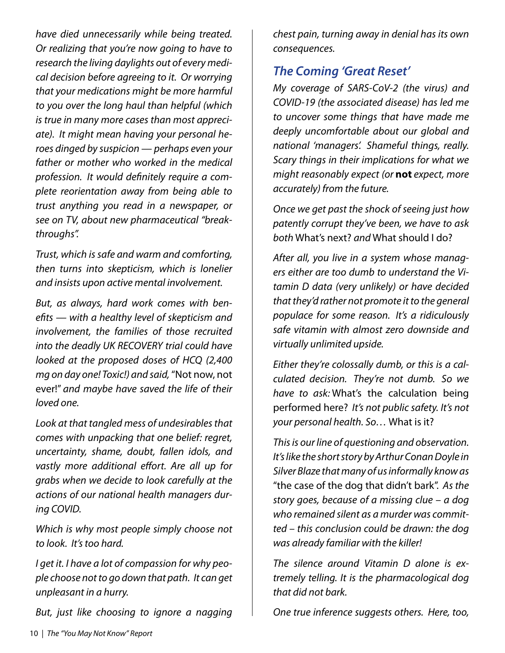*have died unnecessarily while being treated. Or realizing that you're now going to have to research the living daylights out of every medical decision before agreeing to it. Or worrying that your medications might be more harmful to you over the long haul than helpful (which is true in many more cases than most appreciate). It might mean having your personal heroes dinged by suspicion — perhaps even your father or mother who worked in the medical profession. It would definitely require a complete reorientation away from being able to trust anything you read in a newspaper, or see on TV, about new pharmaceutical "breakthroughs".*

*Trust, which is safe and warm and comforting, then turns into skepticism, which is lonelier and insists upon active mental involvement.*

*But, as always, hard work comes with benefits — with a healthy level of skepticism and involvement, the families of those recruited into the deadly UK RECOVERY trial could have looked at the proposed doses of HCQ (2,400 mg on day one! Toxic!) and said,* "Not now, not ever!" *and maybe have saved the life of their loved one.*

*Look at that tangled mess of undesirables that comes with unpacking that one belief: regret, uncertainty, shame, doubt, fallen idols, and vastly more additional effort. Are all up for grabs when we decide to look carefully at the actions of our national health managers during COVID.*

*Which is why most people simply choose not to look. It's too hard.*

*I get it. I have a lot of compassion for why people choose not to go down that path. It can get unpleasant in a hurry.*

*But, just like choosing to ignore a nagging* 

*chest pain, turning away in denial has its own consequences.*

### *The Coming 'Great Reset'*

*My coverage of SARS-CoV-2 (the virus) and COVID-19 (the associated disease) has led me to uncover some things that have made me deeply uncomfortable about our global and national 'managers'. Shameful things, really. Scary things in their implications for what we might reasonably expect (or* **not** *expect, more accurately) from the future.*

*Once we get past the shock of seeing just how patently corrupt they've been, we have to ask both* What's next? *and* What should I do?

*After all, you live in a system whose managers either are too dumb to understand the Vitamin D data (very unlikely) or have decided that they'd rather not promote it to the general populace for some reason. It's a ridiculously safe vitamin with almost zero downside and virtually unlimited upside.*

*Either they're colossally dumb, or this is a calculated decision. They're not dumb. So we have to ask:* What's the calculation being performed here? *It's not public safety. It's not your personal health. So…* What is it?

*This is our line of questioning and observation. It's like the short story by Arthur Conan Doyle in Silver Blaze that many of us informally know as*  "the case of the dog that didn't bark". *As the story goes, because of a missing clue – a dog who remained silent as a murder was committed – this conclusion could be drawn: the dog was already familiar with the killer!*

*The silence around Vitamin D alone is extremely telling. It is the pharmacological dog that did not bark.*

*One true inference suggests others. Here, too,*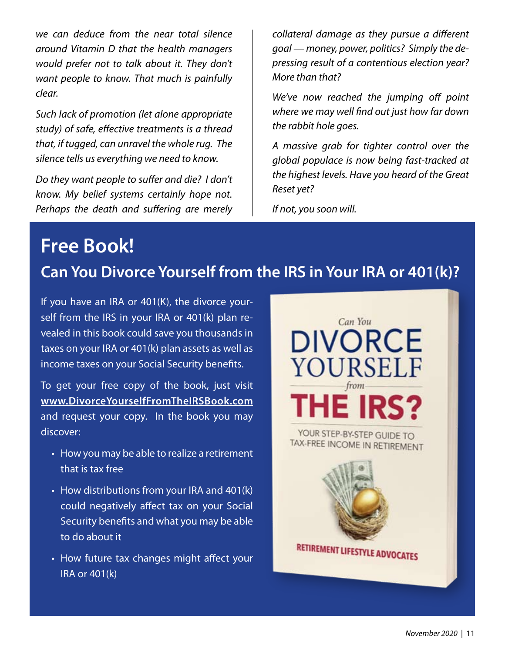*we can deduce from the near total silence around Vitamin D that the health managers would prefer not to talk about it. They don't want people to know. That much is painfully clear.*

*Such lack of promotion (let alone appropriate study) of safe, effective treatments is a thread that, if tugged, can unravel the whole rug. The silence tells us everything we need to know.*

*Do they want people to suffer and die? I don't know. My belief systems certainly hope not. Perhaps the death and suffering are merely* 

*collateral damage as they pursue a different goal — money, power, politics? Simply the depressing result of a contentious election year? More than that?*

*We've now reached the jumping off point where we may well find out just how far down the rabbit hole goes.*

*A massive grab for tighter control over the global populace is now being fast-tracked at the highest levels. Have you heard of the Great Reset yet?*

*If not, you soon will.*

# **Free Book!**

## **Can You Divorce Yourself from the IRS in Your IRA or 401(k)?**

If you have an IRA or 401(K), the divorce yourself from the IRS in your IRA or 401(k) plan revealed in this book could save you thousands in taxes on your IRA or 401(k) plan assets as well as income taxes on your Social Security benefits.

To get your free copy of the book, just visit **www.DivorceYourselfFromTheIRSBook.com** and request your copy. In the book you may discover:

- How you may be able to realize a retirement that is tax free
- How distributions from your IRA and 401(k) could negatively affect tax on your Social Security benefits and what you may be able to do about it
- How future tax changes might affect your IRA or 401(k)